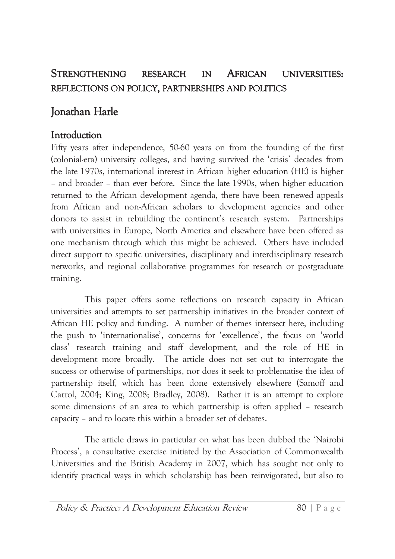#### **STRENGTHENING AFRICAN RESEARCH** IN **UNIVERSITIES:** REFLECTIONS ON POLICY, PARTNERSHIPS AND POLITICS

# Jonathan Harle

#### Introduction

Fifty years after independence, 50-60 years on from the founding of the first (colonial-era) university colleges, and having survived the 'crisis' decades from the late 1970s, international interest in African higher education (HE) is higher - and broader - than ever before. Since the late 1990s, when higher education returned to the African development agenda, there have been renewed appeals from African and non-African scholars to development agencies and other donors to assist in rebuilding the continent's research system. Partnerships with universities in Europe, North America and elsewhere have been offered as one mechanism through which this might be achieved. Others have included direct support to specific universities, disciplinary and interdisciplinary research networks, and regional collaborative programmes for research or postgraduate training.

This paper offers some reflections on research capacity in African universities and attempts to set partnership initiatives in the broader context of African HE policy and funding. A number of themes intersect here, including the push to 'internationalise', concerns for 'excellence', the focus on 'world class' research training and staff development, and the role of HE in development more broadly. The article does not set out to interrogate the success or otherwise of partnerships, nor does it seek to problematise the idea of partnership itself, which has been done extensively elsewhere (Samoff and Carrol, 2004; King, 2008; Bradley, 2008). Rather it is an attempt to explore some dimensions of an area to which partnership is often applied – research capacity – and to locate this within a broader set of debates.

The article draws in particular on what has been dubbed the 'Nairobi Process', a consultative exercise initiated by the Association of Commonwealth Universities and the British Academy in 2007, which has sought not only to identify practical ways in which scholarship has been reinvigorated, but also to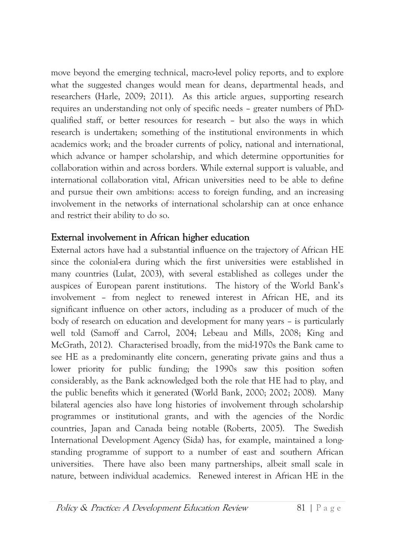move beyond the emerging technical, macro-level policy reports, and to explore what the suggested changes would mean for deans, departmental heads, and researchers (Harle, 2009; 2011). As this article argues, supporting research requires an understanding not only of specific needs – greater numbers of PhDqualified staff, or better resources for research - but also the ways in which research is undertaken; something of the institutional environments in which academics work; and the broader currents of policy, national and international, which advance or hamper scholarship, and which determine opportunities for collaboration within and across borders. While external support is valuable, and international collaboration vital, African universities need to be able to define and pursue their own ambitions: access to foreign funding, and an increasing involvement in the networks of international scholarship can at once enhance and restrict their ability to do so.

#### External involvement in African higher education

External actors have had a substantial influence on the trajectory of African HE since the colonial-era during which the first universities were established in many countries (Lulat, 2003), with several established as colleges under the auspices of European parent institutions. The history of the World Bank's involvement - from neglect to renewed interest in African HE, and its significant influence on other actors, including as a producer of much of the body of research on education and development for many years – is particularly well told (Samoff and Carrol, 2004; Lebeau and Mills, 2008; King and McGrath, 2012). Characterised broadly, from the mid-1970s the Bank came to see HE as a predominantly elite concern, generating private gains and thus a lower priority for public funding; the 1990s saw this position soften considerably, as the Bank acknowledged both the role that HE had to play, and the public benefits which it generated (World Bank, 2000; 2002; 2008). Many bilateral agencies also have long histories of involvement through scholarship programmes or institutional grants, and with the agencies of the Nordic countries, Japan and Canada being notable (Roberts, 2005). The Swedish International Development Agency (Sida) has, for example, maintained a longstanding programme of support to a number of east and southern African universities. There have also been many partnerships, albeit small scale in nature, between individual academics. Renewed interest in African HE in the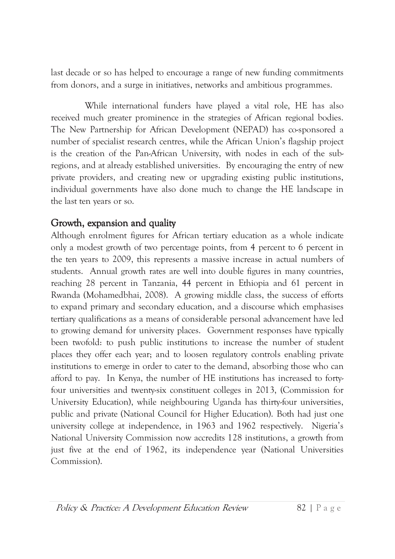last decade or so has helped to encourage a range of new funding commitments from donors, and a surge in initiatives, networks and ambitious programmes.

While international funders have played a vital role, HE has also received much greater prominence in the strategies of African regional bodies. The New Partnership for African Development (NEPAD) has co-sponsored a number of specialist research centres, while the African Union's flagship project is the creation of the Pan-African University, with nodes in each of the subregions, and at already established universities. By encouraging the entry of new private providers, and creating new or upgrading existing public institutions, individual governments have also done much to change the HE landscape in the last ten years or so.

#### Growth, expansion and quality

Although enrolment figures for African tertiary education as a whole indicate only a modest growth of two percentage points, from 4 percent to 6 percent in the ten years to 2009, this represents a massive increase in actual numbers of students. Annual growth rates are well into double figures in many countries, reaching 28 percent in Tanzania, 44 percent in Ethiopia and 61 percent in Rwanda (Mohamedbhai, 2008). A growing middle class, the success of efforts to expand primary and secondary education, and a discourse which emphasises tertiary qualifications as a means of considerable personal advancement have led to growing demand for university places. Government responses have typically been twofold: to push public institutions to increase the number of student places they offer each year; and to loosen regulatory controls enabling private institutions to emerge in order to cater to the demand, absorbing those who can afford to pay. In Kenya, the number of HE institutions has increased to fortyfour universities and twenty-six constituent colleges in 2013, (Commission for University Education), while neighbouring Uganda has thirty-four universities, public and private (National Council for Higher Education). Both had just one university college at independence, in 1963 and 1962 respectively. Nigeria's National University Commission now accredits 128 institutions, a growth from just five at the end of 1962, its independence year (National Universities Commission).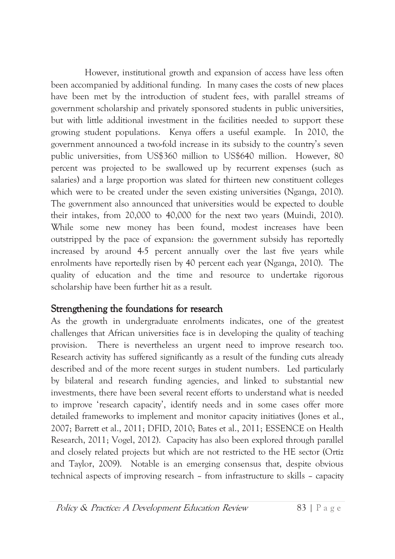However, institutional growth and expansion of access have less often been accompanied by additional funding. In many cases the costs of new places have been met by the introduction of student fees, with parallel streams of government scholarship and privately sponsored students in public universities, but with little additional investment in the facilities needed to support these growing student populations. Kenya offers a useful example. In 2010, the government announced a two-fold increase in its subsidy to the country's seven public universities, from US\$360 million to US\$640 million. However, 80 percent was projected to be swallowed up by recurrent expenses (such as salaries) and a large proportion was slated for thirteen new constituent colleges which were to be created under the seven existing universities (Nganga, 2010). The government also announced that universities would be expected to double their intakes, from 20,000 to 40,000 for the next two years (Muindi, 2010). While some new money has been found, modest increases have been outstripped by the pace of expansion: the government subsidy has reportedly increased by around 4-5 percent annually over the last five years while enrolments have reportedly risen by 40 percent each year (Nganga, 2010). The quality of education and the time and resource to undertake rigorous scholarship have been further hit as a result.

## Strengthening the foundations for research

As the growth in undergraduate enrolments indicates, one of the greatest challenges that African universities face is in developing the quality of teaching There is nevertheless an urgent need to improve research too. provision. Research activity has suffered significantly as a result of the funding cuts already described and of the more recent surges in student numbers. Led particularly by bilateral and research funding agencies, and linked to substantial new investments, there have been several recent efforts to understand what is needed to improve 'research capacity', identify needs and in some cases offer more detailed frameworks to implement and monitor capacity initiatives (Jones et al., 2007; Barrett et al., 2011; DFID, 2010; Bates et al., 2011; ESSENCE on Health Research, 2011; Vogel, 2012). Capacity has also been explored through parallel and closely related projects but which are not restricted to the HE sector (Ortiz and Taylor, 2009). Notable is an emerging consensus that, despite obvious technical aspects of improving research – from infrastructure to skills – capacity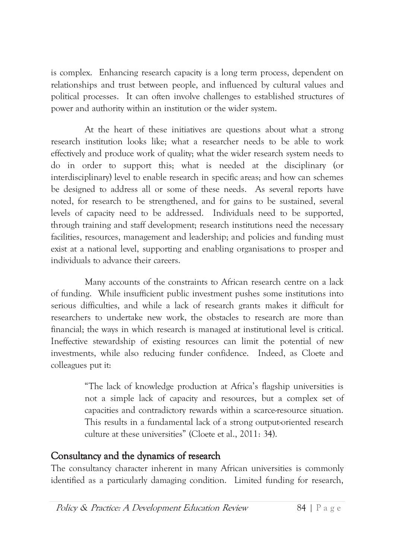is complex. Enhancing research capacity is a long term process, dependent on relationships and trust between people, and influenced by cultural values and political processes. It can often involve challenges to established structures of power and authority within an institution or the wider system.

At the heart of these initiatives are questions about what a strong research institution looks like: what a researcher needs to be able to work effectively and produce work of quality; what the wider research system needs to do in order to support this; what is needed at the disciplinary (or interdisciplinary) level to enable research in specific areas; and how can schemes be designed to address all or some of these needs. As several reports have noted, for research to be strengthened, and for gains to be sustained, several levels of capacity need to be addressed. Individuals need to be supported, through training and staff development; research institutions need the necessary facilities, resources, management and leadership; and policies and funding must exist at a national level, supporting and enabling organisations to prosper and individuals to advance their careers.

Many accounts of the constraints to African research centre on a lack of funding. While insufficient public investment pushes some institutions into serious difficulties, and while a lack of research grants makes it difficult for researchers to undertake new work, the obstacles to research are more than financial; the ways in which research is managed at institutional level is critical. Ineffective stewardship of existing resources can limit the potential of new investments, while also reducing funder confidence. Indeed, as Cloete and colleagues put it:

> "The lack of knowledge production at Africa's flagship universities is not a simple lack of capacity and resources, but a complex set of capacities and contradictory rewards within a scarce-resource situation. This results in a fundamental lack of a strong output-oriented research culture at these universities" (Cloete et al., 2011: 34).

## Consultancy and the dynamics of research

The consultancy character inherent in many African universities is commonly identified as a particularly damaging condition. Limited funding for research,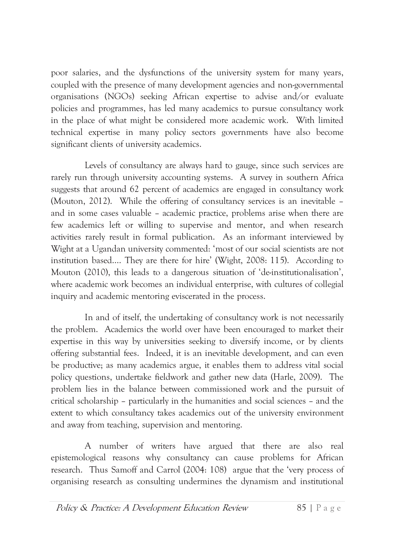poor salaries, and the dysfunctions of the university system for many years, coupled with the presence of many development agencies and non-governmental organisations (NGOs) seeking African expertise to advise and/or evaluate policies and programmes, has led many academics to pursue consultancy work in the place of what might be considered more academic work. With limited technical expertise in many policy sectors governments have also become significant clients of university academics.

Levels of consultancy are always hard to gauge, since such services are rarely run through university accounting systems. A survey in southern Africa suggests that around 62 percent of academics are engaged in consultancy work (Mouton, 2012). While the offering of consultancy services is an inevitable – and in some cases valuable - academic practice, problems arise when there are few academics left or willing to supervise and mentor, and when research activities rarely result in formal publication. As an informant interviewed by Wight at a Ugandan university commented: 'most of our social scientists are not institution based.... They are there for hire' (Wight, 2008: 115). According to Mouton (2010), this leads to a dangerous situation of 'de-institutionalisation'. where academic work becomes an individual enterprise, with cultures of collegial inquiry and academic mentoring eviscerated in the process.

In and of itself, the undertaking of consultancy work is not necessarily the problem. Academics the world over have been encouraged to market their expertise in this way by universities seeking to diversify income, or by clients offering substantial fees. Indeed, it is an inevitable development, and can even be productive; as many academics argue, it enables them to address vital social policy questions, undertake fieldwork and gather new data (Harle, 2009). The problem lies in the balance between commissioned work and the pursuit of critical scholarship – particularly in the humanities and social sciences – and the extent to which consultancy takes academics out of the university environment and away from teaching, supervision and mentoring.

A number of writers have argued that there are also real epistemological reasons why consultancy can cause problems for African research. Thus Samoff and Carrol (2004: 108) argue that the 'very process of organising research as consulting undermines the dynamism and institutional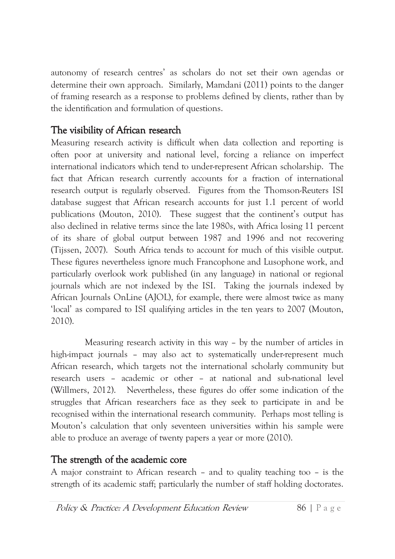autonomy of research centres' as scholars do not set their own agendas or determine their own approach. Similarly, Mamdani (2011) points to the danger of framing research as a response to problems defined by clients, rather than by the identification and formulation of questions.

## The visibility of African research

Measuring research activity is difficult when data collection and reporting is often poor at university and national level, forcing a reliance on imperfect international indicators which tend to under-represent African scholarship. The fact that African research currently accounts for a fraction of international research output is regularly observed. Figures from the Thomson-Reuters ISI database suggest that African research accounts for just 1.1 percent of world publications (Mouton, 2010). These suggest that the continent's output has also declined in relative terms since the late 1980s, with Africa losing 11 percent of its share of global output between 1987 and 1996 and not recovering (Tijssen, 2007). South Africa tends to account for much of this visible output. These figures nevertheless ignore much Francophone and Lusophone work, and particularly overlook work published (in any language) in national or regional journals which are not indexed by the ISI. Taking the journals indexed by African Journals OnLine (AJOL), for example, there were almost twice as many 'local' as compared to ISI qualifying articles in the ten years to 2007 (Mouton, 2010).

Measuring research activity in this way - by the number of articles in high-impact journals - may also act to systematically under-represent much African research, which targets not the international scholarly community but research users - academic or other - at national and sub-national level (Willmers, 2012). Nevertheless, these figures do offer some indication of the struggles that African researchers face as they seek to participate in and be recognised within the international research community. Perhaps most telling is Mouton's calculation that only seventeen universities within his sample were able to produce an average of twenty papers a year or more (2010).

## The strength of the academic core

A major constraint to African research - and to quality teaching too - is the strength of its academic staff; particularly the number of staff holding doctorates.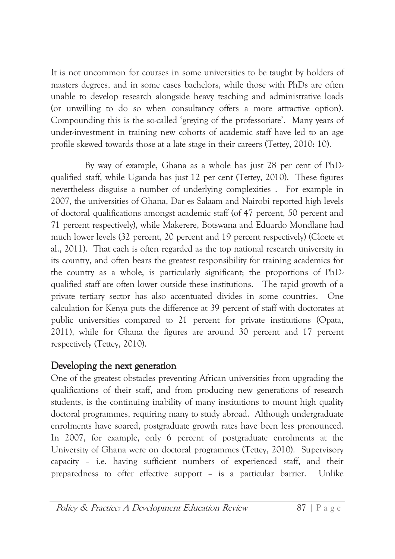It is not uncommon for courses in some universities to be taught by holders of masters degrees, and in some cases bachelors, while those with PhDs are often unable to develop research alongside heavy teaching and administrative loads (or unwilling to do so when consultancy offers a more attractive option). Compounding this is the so-called 'greying of the professoriate'. Many years of under-investment in training new cohorts of academic staff have led to an age profile skewed towards those at a late stage in their careers (Tettey, 2010: 10).

By way of example, Ghana as a whole has just 28 per cent of PhDqualified staff, while Uganda has just 12 per cent (Tettey, 2010). These figures nevertheless disguise a number of underlying complexities. For example in 2007, the universities of Ghana, Dar es Salaam and Nairobi reported high levels of doctoral qualifications amongst academic staff (of 47 percent, 50 percent and 71 percent respectively), while Makerere, Botswana and Eduardo Mondlane had much lower levels (32 percent, 20 percent and 19 percent respectively) (Cloete et al., 2011). That each is often regarded as the top national research university in its country, and often bears the greatest responsibility for training academics for the country as a whole, is particularly significant; the proportions of PhDqualified staff are often lower outside these institutions. The rapid growth of a private tertiary sector has also accentuated divides in some countries. **One** calculation for Kenya puts the difference at 39 percent of staff with doctorates at public universities compared to 21 percent for private institutions (Opata, 2011), while for Ghana the figures are around 30 percent and 17 percent respectively (Tettey, 2010).

#### Developing the next generation

One of the greatest obstacles preventing African universities from upgrading the qualifications of their staff, and from producing new generations of research students, is the continuing inability of many institutions to mount high quality doctoral programmes, requiring many to study abroad. Although undergraduate enrolments have soared, postgraduate growth rates have been less pronounced. In 2007, for example, only 6 percent of postgraduate enrolments at the University of Ghana were on doctoral programmes (Tettey, 2010). Supervisory capacity - i.e. having sufficient numbers of experienced staff, and their preparedness to offer effective support - is a particular barrier. Unlike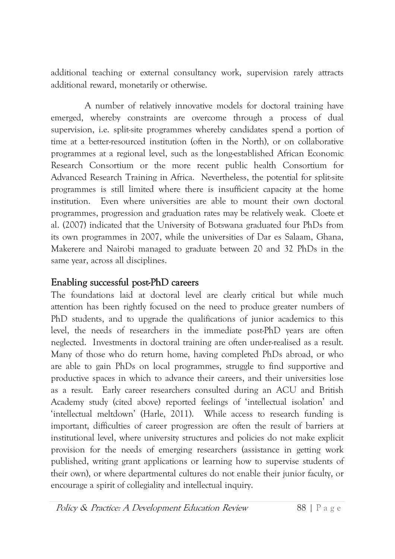additional teaching or external consultancy work, supervision rarely attracts additional reward, monetarily or otherwise.

A number of relatively innovative models for doctoral training have emerged, whereby constraints are overcome through a process of dual supervision, i.e. split-site programmes whereby candidates spend a portion of time at a better-resourced institution (often in the North), or on collaborative programmes at a regional level, such as the long-established African Economic Research Consortium or the more recent public health Consortium for Advanced Research Training in Africa. Nevertheless, the potential for split-site programmes is still limited where there is insufficient capacity at the home institution. Even where universities are able to mount their own doctoral programmes, progression and graduation rates may be relatively weak. Cloete et al. (2007) indicated that the University of Botswana graduated four PhDs from its own programmes in 2007, while the universities of Dar es Salaam. Ghana. Makerere and Nairobi managed to graduate between 20 and 32 PhDs in the same year, across all disciplines.

#### Enabling successful post-PhD careers

The foundations laid at doctoral level are clearly critical but while much attention has been rightly focused on the need to produce greater numbers of PhD students, and to upgrade the qualifications of junior academics to this level, the needs of researchers in the immediate post-PhD years are often neglected. Investments in doctoral training are often under-realised as a result. Many of those who do return home, having completed PhDs abroad, or who are able to gain PhDs on local programmes, struggle to find supportive and productive spaces in which to advance their careers, and their universities lose as a result. Early career researchers consulted during an ACU and British Academy study (cited above) reported feelings of 'intellectual isolation' and 'intellectual meltdown' (Harle, 2011). While access to research funding is important, difficulties of career progression are often the result of barriers at institutional level, where university structures and policies do not make explicit provision for the needs of emerging researchers (assistance in getting work published, writing grant applications or learning how to supervise students of their own), or where departmental cultures do not enable their junior faculty, or encourage a spirit of collegiality and intellectual inquiry.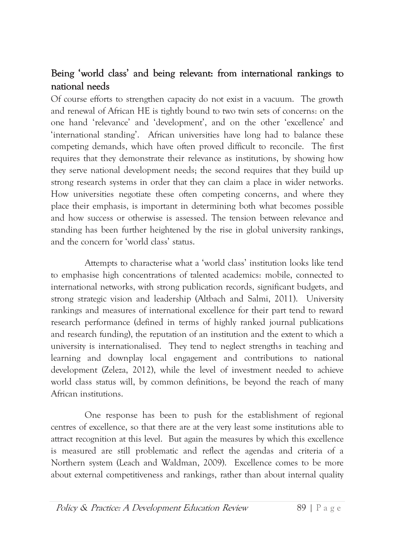## Being 'world class' and being relevant: from international rankings to national needs

Of course efforts to strengthen capacity do not exist in a vacuum. The growth and renewal of African HE is tightly bound to two twin sets of concerns: on the one hand 'relevance' and 'development', and on the other 'excellence' and 'international standing'. African universities have long had to balance these competing demands, which have often proved difficult to reconcile. The first requires that they demonstrate their relevance as institutions, by showing how they serve national development needs; the second requires that they build up strong research systems in order that they can claim a place in wider networks. How universities negotiate these often competing concerns, and where they place their emphasis, is important in determining both what becomes possible and how success or otherwise is assessed. The tension between relevance and standing has been further heightened by the rise in global university rankings, and the concern for 'world class' status.

Attempts to characterise what a 'world class' institution looks like tend to emphasise high concentrations of talented academics: mobile, connected to international networks, with strong publication records, significant budgets, and strong strategic vision and leadership (Altbach and Salmi, 2011). University rankings and measures of international excellence for their part tend to reward research performance (defined in terms of highly ranked journal publications and research funding), the reputation of an institution and the extent to which a university is internationalised. They tend to neglect strengths in teaching and learning and downplay local engagement and contributions to national development (Zeleza, 2012), while the level of investment needed to achieve world class status will, by common definitions, be beyond the reach of many African institutions.

One response has been to push for the establishment of regional centres of excellence, so that there are at the very least some institutions able to attract recognition at this level. But again the measures by which this excellence is measured are still problematic and reflect the agendas and criteria of a Northern system (Leach and Waldman, 2009). Excellence comes to be more about external competitiveness and rankings, rather than about internal quality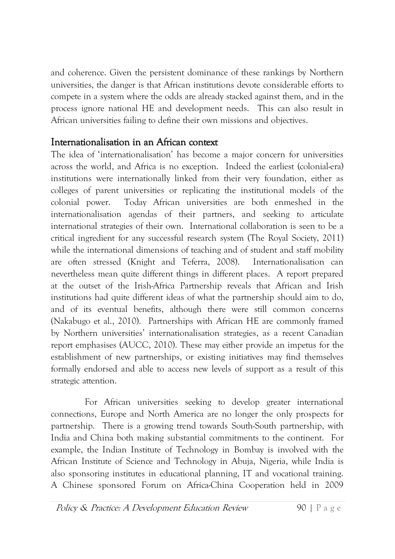and coherence. Given the persistent dominance of these rankings by Northern universities, the danger is that African institutions devote considerable efforts to compete in a system where the odds are already stacked against them, and in the process ignore national HE and development needs. This can also result in African universities failing to define their own missions and objectives.

#### Internationalisation in an African context

The idea of 'internationalisation' has become a major concern for universities across the world, and Africa is no exception. Indeed the earliest (colonial-era) institutions were internationally linked from their very foundation, either as colleges of parent universities or replicating the institutional models of the colonial power. Today African universities are both enmeshed in the internationalisation agendas of their partners, and seeking to articulate international strategies of their own. International collaboration is seen to be a critical ingredient for any successful research system (The Royal Society, 2011) while the international dimensions of teaching and of student and staff mobility are often stressed (Knight and Teferra, 2008). Internationalisation can nevertheless mean quite different things in different places. A report prepared at the outset of the Irish-Africa Partnership reveals that African and Irish institutions had quite different ideas of what the partnership should aim to do, and of its eventual benefits, although there were still common concerns (Nakabugo et al., 2010). Partnerships with African HE are commonly framed by Northern universities' internationalisation strategies, as a recent Canadian report emphasises (AUCC, 2010). These may either provide an impetus for the establishment of new partnerships, or existing initiatives may find themselves formally endorsed and able to access new levels of support as a result of this strategic attention.

For African universities seeking to develop greater international connections, Europe and North America are no longer the only prospects for partnership. There is a growing trend towards South-South partnership, with India and China both making substantial commitments to the continent. For example, the Indian Institute of Technology in Bombay is involved with the African Institute of Science and Technology in Abuja, Nigeria, while India is also sponsoring institutes in educational planning, IT and vocational training. A Chinese sponsored Forum on Africa-China Cooperation held in 2009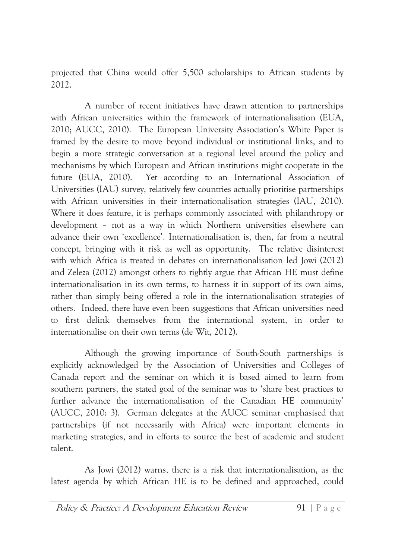projected that China would offer 5,500 scholarships to African students by  $2012.$ 

A number of recent initiatives have drawn attention to partnerships with African universities within the framework of internationalisation (EUA, 2010; AUCC, 2010). The European University Association's White Paper is framed by the desire to move beyond individual or institutional links, and to begin a more strategic conversation at a regional level around the policy and mechanisms by which European and African institutions might cooperate in the future (EUA, 2010). Yet according to an International Association of Universities (IAU) survey, relatively few countries actually prioritise partnerships with African universities in their internationalisation strategies (IAU, 2010). Where it does feature, it is perhaps commonly associated with philanthropy or development - not as a way in which Northern universities elsewhere can advance their own 'excellence'. Internationalisation is, then, far from a neutral concept, bringing with it risk as well as opportunity. The relative disinterest with which Africa is treated in debates on internationalisation led Jowi (2012) and Zeleza (2012) amongst others to rightly argue that African HE must define internationalisation in its own terms, to harness it in support of its own aims, rather than simply being offered a role in the internationalisation strategies of others. Indeed, there have even been suggestions that African universities need to first delink themselves from the international system, in order to internationalise on their own terms (de Wit, 2012).

Although the growing importance of South-South partnerships is explicitly acknowledged by the Association of Universities and Colleges of Canada report and the seminar on which it is based aimed to learn from southern partners, the stated goal of the seminar was to 'share best practices to further advance the internationalisation of the Canadian HE community' (AUCC, 2010: 3). German delegates at the AUCC seminar emphasised that partnerships (if not necessarily with Africa) were important elements in marketing strategies, and in efforts to source the best of academic and student talent.

As Jowi (2012) warns, there is a risk that internationalisation, as the latest agenda by which African HE is to be defined and approached, could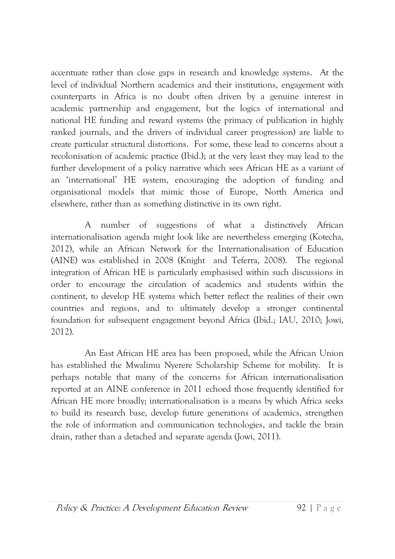accentuate rather than close gaps in research and knowledge systems. At the level of individual Northern academics and their institutions, engagement with counterparts in Africa is no doubt often driven by a genuine interest in academic partnership and engagement, but the logics of international and national HE funding and reward systems (the primacy of publication in highly ranked journals, and the drivers of individual career progression) are liable to create particular structural distortions. For some, these lead to concerns about a recolonisation of academic practice (Ibid.); at the very least they may lead to the further development of a policy narrative which sees African HE as a variant of an 'international' HE system, encouraging the adoption of funding and organisational models that mimic those of Europe, North America and elsewhere, rather than as something distinctive in its own right.

 $\mathsf{A}$ number of suggestions of what a distinctively African internationalisation agenda might look like are nevertheless emerging (Kotecha, 2012), while an African Network for the Internationalisation of Education (AINE) was established in 2008 (Knight and Teferra, 2008). The regional integration of African HE is particularly emphasised within such discussions in order to encourage the circulation of academics and students within the continent, to develop HE systems which better reflect the realities of their own countries and regions, and to ultimately develop a stronger continental foundation for subsequent engagement beyond Africa (Ibid.; IAU, 2010; Jowi, 2012).

An East African HE area has been proposed, while the African Union has established the Mwalimu Nyerere Scholarship Scheme for mobility. It is perhaps notable that many of the concerns for African internationalisation reported at an AINE conference in 2011 echoed those frequently identified for African HE more broadly; internationalisation is a means by which Africa seeks to build its research base, develop future generations of academics, strengthen the role of information and communication technologies, and tackle the brain drain, rather than a detached and separate agenda (Jowi, 2011).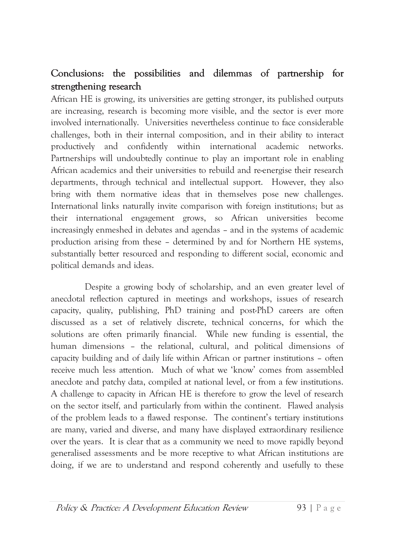## Conclusions: the possibilities and dilemmas of partnership for strengthening research

African HE is growing, its universities are getting stronger, its published outputs are increasing, research is becoming more visible, and the sector is ever more involved internationally. Universities nevertheless continue to face considerable challenges, both in their internal composition, and in their ability to interact productively and confidently within international academic networks. Partnerships will undoubtedly continue to play an important role in enabling African academics and their universities to rebuild and re-energise their research departments, through technical and intellectual support. However, they also bring with them normative ideas that in themselves pose new challenges. International links naturally invite comparison with foreign institutions; but as their international engagement grows, so African universities become increasingly enmeshed in debates and agendas – and in the systems of academic production arising from these – determined by and for Northern HE systems, substantially better resourced and responding to different social, economic and political demands and ideas.

Despite a growing body of scholarship, and an even greater level of anecdotal reflection captured in meetings and workshops, issues of research capacity, quality, publishing, PhD training and post-PhD careers are often discussed as a set of relatively discrete, technical concerns, for which the solutions are often primarily financial. While new funding is essential, the human dimensions - the relational, cultural, and political dimensions of capacity building and of daily life within African or partner institutions - often receive much less attention. Much of what we 'know' comes from assembled anecdote and patchy data, compiled at national level, or from a few institutions. A challenge to capacity in African HE is therefore to grow the level of research on the sector itself, and particularly from within the continent. Flawed analysis of the problem leads to a flawed response. The continent's tertiary institutions are many, varied and diverse, and many have displayed extraordinary resilience over the years. It is clear that as a community we need to move rapidly beyond generalised assessments and be more receptive to what African institutions are doing, if we are to understand and respond coherently and usefully to these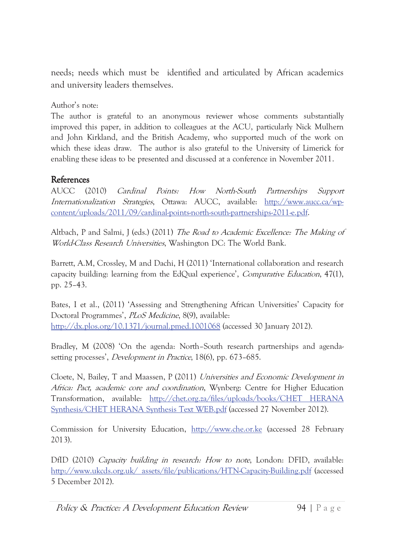needs; needs which must be identified and articulated by African academics and university leaders themselves.

Author's note:

The author is grateful to an anonymous reviewer whose comments substantially improved this paper, in addition to colleagues at the ACU, particularly Nick Mulhern and John Kirkland, and the British Academy, who supported much of the work on which these ideas draw. The author is also grateful to the University of Limerick for enabling these ideas to be presented and discussed at a conference in November 2011.

#### References

**AUCC**  $(2010)$ How North-South *Cardinal Points:* Partnerships Support Internationalization Strategies, Ottawa: AUCC, available: http://www.aucc.ca/wpcontent/uploads/2011/09/cardinal-points-north-south-partnerships-2011-e.pdf.

Altbach, P and Salmi, J (eds.) (2011) The Road to Academic Excellence: The Making of World-Class Research Universities, Washington DC: The World Bank.

Barrett, A.M, Crossley, M and Dachi, H (2011) 'International collaboration and research capacity building: learning from the EdQual experience', *Comparative Education*,  $47(1)$ , pp. 25-43.

Bates, I et al., (2011) 'Assessing and Strengthening African Universities' Capacity for Doctoral Programmes', *PLoS Medicine*, 8(9), available: http://dx.plos.org/10.1371/journal.pmed.1001068 (accessed 30 January 2012).

Bradley, M (2008) 'On the agenda: North-South research partnerships and agendasetting processes', *Development in Practice*, 18(6), pp. 673-685.

Cloete, N, Bailey, T and Maassen, P (2011) Universities and Economic Development in Africa: Pact, academic core and coordination, Wynberg: Centre for Higher Education Transformation, available: http://chet.org.za/files/uploads/books/CHET HERANA Synthesis/CHET HERANA Synthesis Text WEB.pdf (accessed 27 November 2012).

Commission for University Education, http://www.che.or.ke (accessed 28 February  $2013$ ).

DfID (2010) Capacity building in research: How to note, London: DFID, available: http://www.ukcds.org.uk/ assets/file/publications/HTN-Capacity-Building.pdf (accessed 5 December 2012).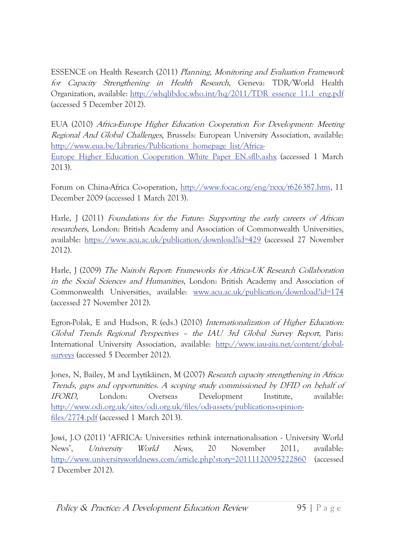ESSENCE on Health Research (2011) Planning, Monitoring and Evaluation Framework for Capacity Strengthening in Health Research, Geneva: TDR/World Health Organization, available: http://whqlibdoc.who.int/hq/2011/TDR essence 11.1 eng.pdf (accessed 5 December 2012).

EUA (2010) *Africa-Europe Higher Education Cooperation For Development: Meeting Regional And Global Challenges*, Brussels: European University Association, available: http://www.eua.be/Libraries/Publications homepage list/Africa-

Europe Higher Education Cooperation White Paper EN.sflb.ashx (accessed 1 March  $2013$ ).

Forum on China-Africa Co-operation, http://www.focac.org/eng/zxxx/t626387.htm, 11 December 2009 (accessed 1 March 2013).

Harle, J (2011) Foundations for the Future: Supporting the early careers of African *researchers*, London: British Academy and Association of Commonwealth Universities, available: https://www.acu.ac.uk/publication/download?id=429 (accessed 27 November 2012).

Harle, J (2009) The Nairobi Report: Frameworks for Africa-UK Research Collaboration in the Social Sciences and Humanities, London: British Academy and Association of Commonwealth Universities, available: www.acu.ac.uk/publication/download?id=174 (accessed 27 November 2012).

Egron-Polak, E and Hudson, R (eds.) (2010) Internationalization of Higher Education: Global Trends Regional Perspectives - the IAU 3rd Global Survey Report, Paris: International University Association, available: http://www.iau-aiu.net/content/globalsurveys (accessed 5 December 2012).

Jones, N, Bailey, M and Lyytikäinen, M (2007) Research capacity strengthening in Africa: Trends, gaps and opportunities. A scoping study commissioned by DFID on behalf of London: Overseas Development Institute. IFORD, available: http://www.odi.org.uk/sites/odi.org.uk/files/odi-assets/publications-opinionfiles/2774.pdf (accessed 1 March 2013).

Jowi, J.O (2011) 'AFRICA: Universities rethink internationalisation - University World News'. University World News. 20 November 2011. available: http://www.universityworldnews.com/article.php?story=20111120095222860 (accessed) 7 December 2012).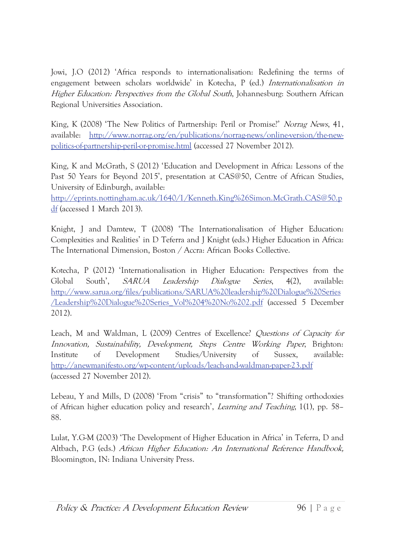Jowi, J.O (2012) 'Africa responds to internationalisation: Redefining the terms of engagement between scholars worldwide' in Kotecha, P (ed.) Internationalisation in Higher Education: Perspectives from the Global South, Johannesburg: Southern African Regional Universities Association.

King, K (2008) 'The New Politics of Partnership: Peril or Promise?' Norrag News, 41, http://www.norrag.org/en/publications/norrag-news/online-version/the-newavailable: politics-of-partnership-peril-or-promise.html (accessed 27 November 2012).

King, K and McGrath, S (2012) 'Education and Development in Africa: Lessons of the Past 50 Years for Beyond 2015', presentation at CAS@50, Centre of African Studies, University of Edinburgh, available:

http://eprints.nottingham.ac.uk/1640/1/Kenneth.King%26Simon.McGrath.CAS@50.p  $df$  (accessed 1 March 2013).

Knight, J and Damtew, T (2008) 'The Internationalisation of Higher Education: Complexities and Realities' in D Teferra and J Knight (eds.) Higher Education in Africa: The International Dimension, Boston / Accra: African Books Collective.

Kotecha, P (2012) 'Internationalisation in Higher Education: Perspectives from the Dialogue Global South'. **SARUA** Leadership Series.  $4(2)$ , available: http://www.sarua.org/files/publications/SARUA%20leadership%20Dialogue%20Series /Leadership%20Dialogue%20Series Vol%204%20No%202.pdf (accessed 5 December 2012).

Leach, M and Waldman, L (2009) Centres of Excellence? Questions of Capacity for Innovation, Sustainability, Development, Steps Centre Working Paper, Brighton: Studies/University Institute  $\sigma f$ Development  $\circ$ f Sussex. available: http://anewmanifesto.org/wp-content/uploads/leach-and-waldman-paper-23.pdf (accessed 27 November 2012).

Lebeau, Y and Mills, D (2008) 'From "crisis" to "transformation"? Shifting orthodoxies of African higher education policy and research', *Learning and Teaching*, 1(1), pp. 58– 88.

Lulat, Y.G-M (2003) 'The Development of Higher Education in Africa' in Teferra, D and Altbach, P.G (eds.) African Higher Education: An International Reference Handbook, Bloomington, IN: Indiana University Press.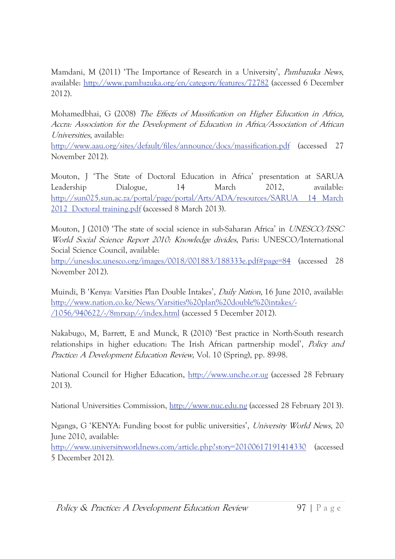Mamdani, M (2011) 'The Importance of Research in a University', *Pambazuka News*, available: http://www.pambazuka.org/en/category/features/72782 (accessed 6 December 2012).

Mohamedbhai, G (2008) The Effects of Massification on Higher Education in Africa, Accra: Association for the Development of Education in Africa/Association of African *Universities*, available:

http://www.aau.org/sites/default/files/announce/docs/massification.pdf (accessed 27 November 2012).

Mouton, J 'The State of Doctoral Education in Africa' presentation at SARUA 14 Leadership Dialogue, March 2012, available: http://sun025.sun.ac.za/portal/page/portal/Arts/ADA/resources/SARUA 14 March 2012 Doctoral training.pdf (accessed 8 March 2013).

Mouton, J (2010) 'The state of social science in sub-Saharan Africa' in *UNESCO/ISSC* World Social Science Report 2010: Knowledge divides, Paris: UNESCO/International Social Science Council, available:

http://unesdoc.unesco.org/images/0018/001883/188333e.pdf#page=84 (accessed 28 November 2012).

Muindi, B 'Kenya: Varsities Plan Double Intakes', *Daily Nation*, 16 June 2010, available: http://www.nation.co.ke/News/Varsities%20plan%20double%20intakes/-/1056/940622/-/8mrxap/-/index.html (accessed 5 December 2012).

Nakabugo, M, Barrett, E and Munck, R (2010) 'Best practice in North-South research relationships in higher education: The Irish African partnership model', *Policy and Practice: A Development Education Review, Vol. 10 (Spring), pp. 89-98.* 

National Council for Higher Education, http://www.unche.or.ug (accessed 28 February  $2013$ ).

National Universities Commission, http://www.nuc.edu.ng (accessed 28 February 2013).

Nganga, G 'KENYA: Funding boost for public universities', University World News, 20 June 2010, available:

http://www.universityworldnews.com/article.php?story=20100617191414330 (accessed 5 December 2012).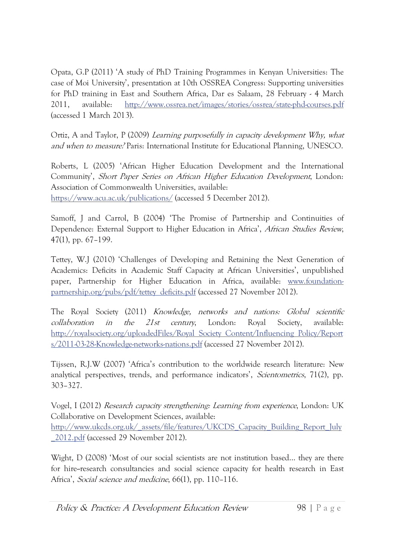Opata, G.P (2011) 'A study of PhD Training Programmes in Kenyan Universities: The case of Moi University', presentation at 10th OSSREA Congress: Supporting universities for PhD training in East and Southern Africa, Dar es Salaam, 28 February - 4 March 2011, available: http://www.ossrea.net/images/stories/ossrea/state-phd-courses.pdf (accessed 1 March 2013).

Ortiz, A and Taylor, P (2009) Learning purposefully in capacity development Why, what and when to measure? Paris: International Institute for Educational Planning, UNESCO.

Roberts, L (2005) 'African Higher Education Development and the International Community', Short Paper Series on African Higher Education Development, London: Association of Commonwealth Universities, available: https://www.acu.ac.uk/publications/ (accessed 5 December 2012).

Samoff, J and Carrol, B (2004) 'The Promise of Partnership and Continuities of Dependence: External Support to Higher Education in Africa', African Studies Review,  $47(1)$ , pp. 67-199.

Tettey, W.J (2010) 'Challenges of Developing and Retaining the Next Generation of Academics: Deficits in Academic Staff Capacity at African Universities', unpublished paper, Partnership for Higher Education in Africa, available: www.foundationpartnership.org/pubs/pdf/tettey deficits.pdf (accessed 27 November 2012).

The Royal Society (2011) Knowledge, networks and nations: Global scientific collaboration the  $21st$ London: Society,  $in$ century, Royal available: http://royalsociety.org/uploadedFiles/Royal Society Content/Influencing Policy/Report s/2011-03-28-Knowledge-networks-nations.pdf (accessed 27 November 2012).

Tijssen, R.J.W (2007) 'Africa's contribution to the worldwide research literature: New analytical perspectives, trends, and performance indicators', Scientometrics, 71(2), pp.  $303 - 327.$ 

Vogel, I (2012) Research capacity strengthening: Learning from experience, London: UK Collaborative on Development Sciences, available: http://www.ukcds.org.uk/ assets/file/features/UKCDS Capacity Building Report July 2012.pdf (accessed 29 November 2012).

Wight, D (2008) 'Most of our social scientists are not institution based... they are there for hire-research consultancies and social science capacity for health research in East Africa', Social science and medicine, 66(1), pp. 110-116.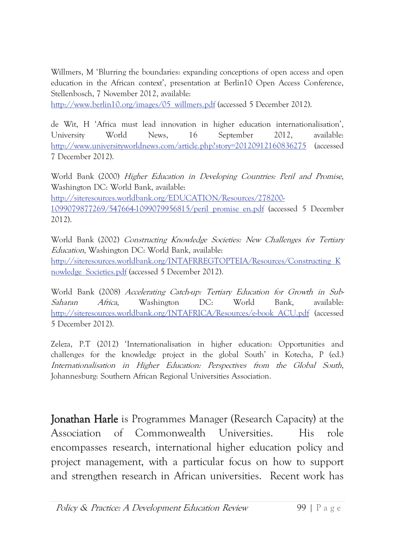Willmers, M 'Blurring the boundaries: expanding conceptions of open access and open education in the African context', presentation at Berlin10 Open Access Conference, Stellenbosch, 7 November 2012, available:

http://www.berlin10.org/images/05 willmers.pdf (accessed 5 December 2012).

de Wit, H 'Africa must lead innovation in higher education internationalisation', World News. 16 September 2012, University available: http://www.universityworldnews.com/article.php?story=20120912160836275 *(accessed)* 7 December 2012).

World Bank (2000) *Higher Education in Developing Countries: Peril and Promise*, Washington DC: World Bank, available: http://siteresources.worldbank.org/EDUCATION/Resources/278200-1099079877269/547664-1099079956815/peril promise en.pdf (accessed 5 December  $2012$ ).

World Bank (2002) Constructing Knowledge Societies: New Challenges for Tertiary Education, Washington DC: World Bank, available: http://siteresources.worldbank.org/INTAFRREGTOPTEIA/Resources/Constructing K nowledge Societies.pdf (accessed 5 December 2012).

World Bank (2008) Accelerating Catch-up: Tertiary Education for Growth in Sub-Saharan Africa. Washington  $DC:$ World Bank. available: http://siteresources.worldbank.org/INTAFRICA/Resources/e-book ACU.pdf (accessed 5 December 2012).

Zeleza, P.T (2012) 'Internationalisation in higher education: Opportunities and challenges for the knowledge project in the global South' in Kotecha, P (ed.) Internationalisation in Higher Education: Perspectives from the Global South, Johannesburg: Southern African Regional Universities Association.

**Jonathan Harle** is Programmes Manager (Research Capacity) at the Association  $\Omega$ Commonwealth Universities. **His** role encompasses research, international higher education policy and project management, with a particular focus on how to support and strengthen research in African universities. Recent work has